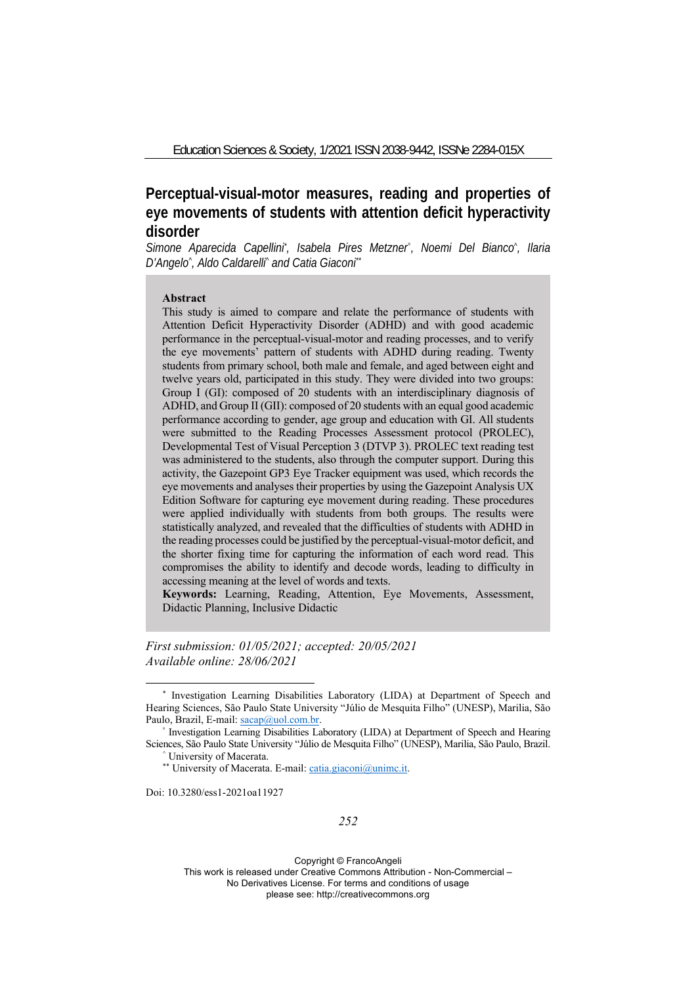# **Perceptual-visual-motor measures, reading and properties of eye movements of students with attention deficit hyperactivity disorder**

*Simone Aparecida Capellini\* , Isabela Pires Metzner° , Noemi Del Bianco^ , Ilaria D'Angelo^ , Aldo Caldarelli^ and Catia Giaconi\*\**

#### **Abstract**

This study is aimed to compare and relate the performance of students with Attention Deficit Hyperactivity Disorder (ADHD) and with good academic performance in the perceptual-visual-motor and reading processes, and to verify the eye movements' pattern of students with ADHD during reading. Twenty students from primary school, both male and female, and aged between eight and twelve years old, participated in this study. They were divided into two groups: Group I (GI): composed of 20 students with an interdisciplinary diagnosis of ADHD, and Group II (GII): composed of 20 students with an equal good academic performance according to gender, age group and education with GI. All students were submitted to the Reading Processes Assessment protocol (PROLEC), Developmental Test of Visual Perception 3 (DTVP 3). PROLEC text reading test was administered to the students, also through the computer support. During this activity, the Gazepoint GP3 Eye Tracker equipment was used, which records the eye movements and analyses their properties by using the Gazepoint Analysis UX Edition Software for capturing eye movement during reading. These procedures were applied individually with students from both groups. The results were statistically analyzed, and revealed that the difficulties of students with ADHD in the reading processes could be justified by the perceptual-visual-motor deficit, and the shorter fixing time for capturing the information of each word read. This compromises the ability to identify and decode words, leading to difficulty in accessing meaning at the level of words and texts.

**Keywords:** Learning, Reading, Attention, Eye Movements, Assessment, Didactic Planning, Inclusive Didactic

*First submission: 19/05/2021; accepted: 20/05/2021 Available online: 28/06/2021* 

Doi: 10.3280/ess1-2021oa11927

Copyright © FrancoAngeli

This work is released under Creative Commons Attribution - Non-Commercial –

No Derivatives License. For terms and conditions of usage

please see: http://creativecommons.org

<sup>\*</sup> Investigation Learning Disabilities Laboratory (LIDA) at Department of Speech and Hearing Sciences, São Paulo State University "Júlio de Mesquita Filho" (UNESP), Marilia, São Paulo, Brazil, E-mail: sacap@uol.com.br.

Investigation Learning Disabilities Laboratory (LIDA) at Department of Speech and Hearing Sciences, São Paulo State University "Júlio de Mesquita Filho" (UNESP), Marilia, São Paulo, Brazil. ^ University of Macerata.

<sup>\*\*</sup> University of Macerata. E-mail: catia.giaconi@unimc.it.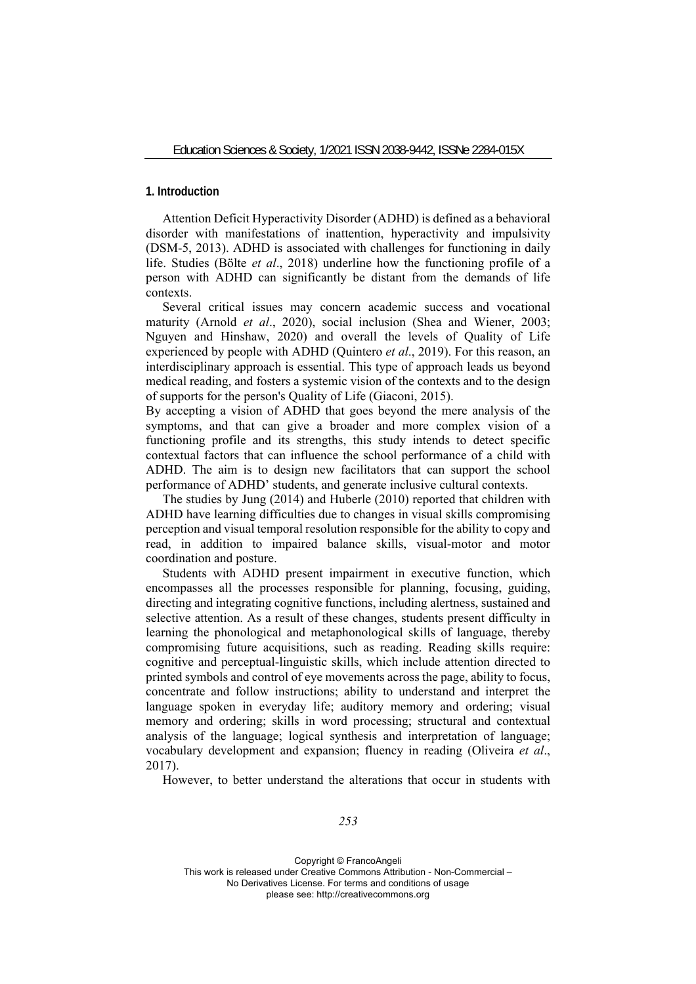## **1. Introduction**

Attention Deficit Hyperactivity Disorder (ADHD) is defined as a behavioral disorder with manifestations of inattention, hyperactivity and impulsivity (DSM-5, 2013). ADHD is associated with challenges for functioning in daily life. Studies (Bölte *et al*., 2018) underline how the functioning profile of a person with ADHD can significantly be distant from the demands of life contexts.

Several critical issues may concern academic success and vocational maturity (Arnold *et al*., 2020), social inclusion (Shea and Wiener, 2003; Nguyen and Hinshaw, 2020) and overall the levels of Quality of Life experienced by people with ADHD (Quintero *et al*., 2019). For this reason, an interdisciplinary approach is essential. This type of approach leads us beyond medical reading, and fosters a systemic vision of the contexts and to the design of supports for the person's Quality of Life (Giaconi, 2015).

By accepting a vision of ADHD that goes beyond the mere analysis of the symptoms, and that can give a broader and more complex vision of a functioning profile and its strengths, this study intends to detect specific contextual factors that can influence the school performance of a child with ADHD. The aim is to design new facilitators that can support the school performance of ADHD' students, and generate inclusive cultural contexts.

The studies by Jung (2014) and Huberle (2010) reported that children with ADHD have learning difficulties due to changes in visual skills compromising perception and visual temporal resolution responsible for the ability to copy and read, in addition to impaired balance skills, visual-motor and motor coordination and posture.

Students with ADHD present impairment in executive function, which encompasses all the processes responsible for planning, focusing, guiding, directing and integrating cognitive functions, including alertness, sustained and selective attention. As a result of these changes, students present difficulty in learning the phonological and metaphonological skills of language, thereby compromising future acquisitions, such as reading. Reading skills require: cognitive and perceptual-linguistic skills, which include attention directed to printed symbols and control of eye movements across the page, ability to focus, concentrate and follow instructions; ability to understand and interpret the language spoken in everyday life; auditory memory and ordering; visual memory and ordering; skills in word processing; structural and contextual analysis of the language; logical synthesis and interpretation of language; vocabulary development and expansion; fluency in reading (Oliveira *et al*., 2017).

However, to better understand the alterations that occur in students with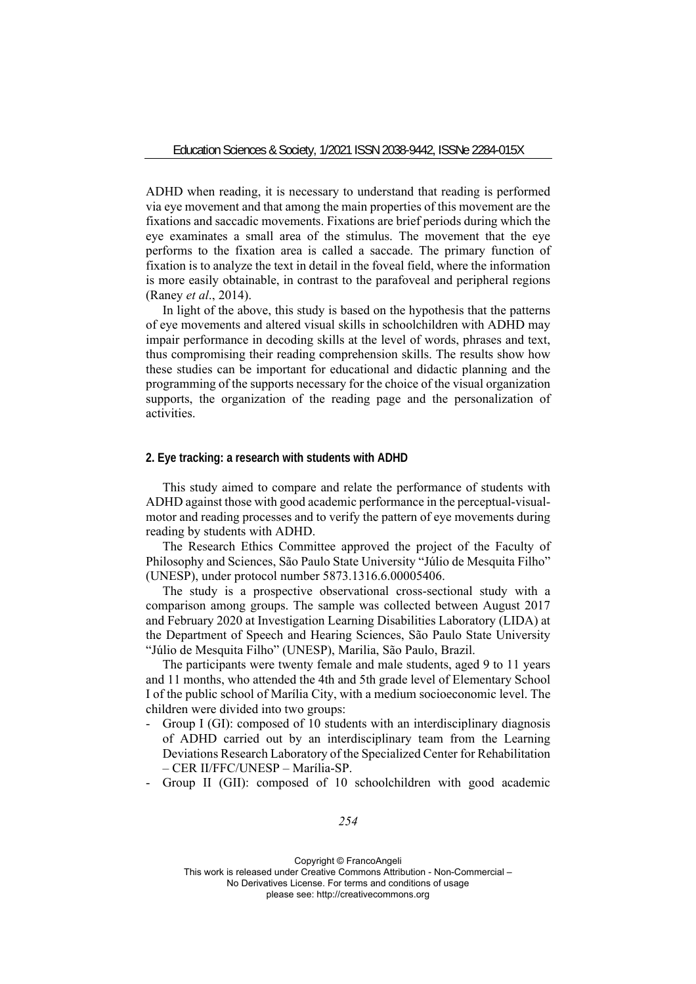ADHD when reading, it is necessary to understand that reading is performed via eye movement and that among the main properties of this movement are the fixations and saccadic movements. Fixations are brief periods during which the eye examinates a small area of the stimulus. The movement that the eye performs to the fixation area is called a saccade. The primary function of fixation is to analyze the text in detail in the foveal field, where the information is more easily obtainable, in contrast to the parafoveal and peripheral regions (Raney *et al*., 2014).

In light of the above, this study is based on the hypothesis that the patterns of eye movements and altered visual skills in schoolchildren with ADHD may impair performance in decoding skills at the level of words, phrases and text, thus compromising their reading comprehension skills. The results show how these studies can be important for educational and didactic planning and the programming of the supports necessary for the choice of the visual organization supports, the organization of the reading page and the personalization of activities.

#### **2. Eye tracking: a research with students with ADHD**

This study aimed to compare and relate the performance of students with ADHD against those with good academic performance in the perceptual-visualmotor and reading processes and to verify the pattern of eye movements during reading by students with ADHD.

The Research Ethics Committee approved the project of the Faculty of Philosophy and Sciences, São Paulo State University "Júlio de Mesquita Filho" (UNESP), under protocol number 5873.1316.6.00005406.

The study is a prospective observational cross-sectional study with a comparison among groups. The sample was collected between August 2017 and February 2020 at Investigation Learning Disabilities Laboratory (LIDA) at the Department of Speech and Hearing Sciences, São Paulo State University "Júlio de Mesquita Filho" (UNESP), Marilia, São Paulo, Brazil.

The participants were twenty female and male students, aged 9 to 11 years and 11 months, who attended the 4th and 5th grade level of Elementary School I of the public school of Marília City, with a medium socioeconomic level. The children were divided into two groups:

- Group I (GI): composed of 10 students with an interdisciplinary diagnosis of ADHD carried out by an interdisciplinary team from the Learning Deviations Research Laboratory of the Specialized Center for Rehabilitation – CER II/FFC/UNESP – Marília-SP.
- Group II (GII): composed of 10 schoolchildren with good academic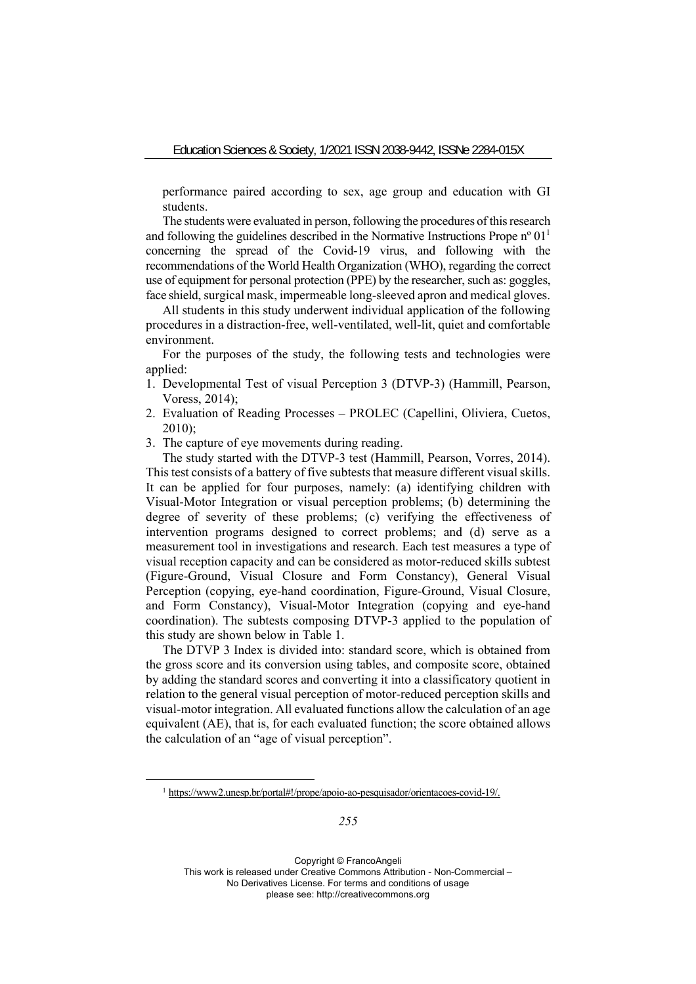performance paired according to sex, age group and education with GI students.

The students were evaluated in person, following the procedures of this research and following the guidelines described in the Normative Instructions Prope  $n^{\circ} 01^{\text{T}}$ concerning the spread of the Covid-19 virus, and following with the recommendations of the World Health Organization (WHO), regarding the correct use of equipment for personal protection (PPE) by the researcher, such as: goggles, face shield, surgical mask, impermeable long-sleeved apron and medical gloves.

All students in this study underwent individual application of the following procedures in a distraction-free, well-ventilated, well-lit, quiet and comfortable environment.

For the purposes of the study, the following tests and technologies were applied:

- 1. Developmental Test of visual Perception 3 (DTVP-3) (Hammill, Pearson, Voress, 2014);
- 2. Evaluation of Reading Processes PROLEC (Capellini, Oliviera, Cuetos, 2010);
- 3. The capture of eye movements during reading.

The study started with the DTVP-3 test (Hammill, Pearson, Vorres, 2014). This test consists of a battery of five subtests that measure different visual skills. It can be applied for four purposes, namely: (a) identifying children with Visual-Motor Integration or visual perception problems; (b) determining the degree of severity of these problems; (c) verifying the effectiveness of intervention programs designed to correct problems; and (d) serve as a measurement tool in investigations and research. Each test measures a type of visual reception capacity and can be considered as motor-reduced skills subtest (Figure-Ground, Visual Closure and Form Constancy), General Visual Perception (copying, eye-hand coordination, Figure-Ground, Visual Closure, and Form Constancy), Visual-Motor Integration (copying and eye-hand coordination). The subtests composing DTVP-3 applied to the population of this study are shown below in Table 1.

The DTVP 3 Index is divided into: standard score, which is obtained from the gross score and its conversion using tables, and composite score, obtained by adding the standard scores and converting it into a classificatory quotient in relation to the general visual perception of motor-reduced perception skills and visual-motor integration. All evaluated functions allow the calculation of an age equivalent (AE), that is, for each evaluated function; the score obtained allows the calculation of an "age of visual perception".

*255* 

<sup>1</sup> https://www2.unesp.br/portal#!/prope/apoio-ao-pesquisador/orientacoes-covid-19/.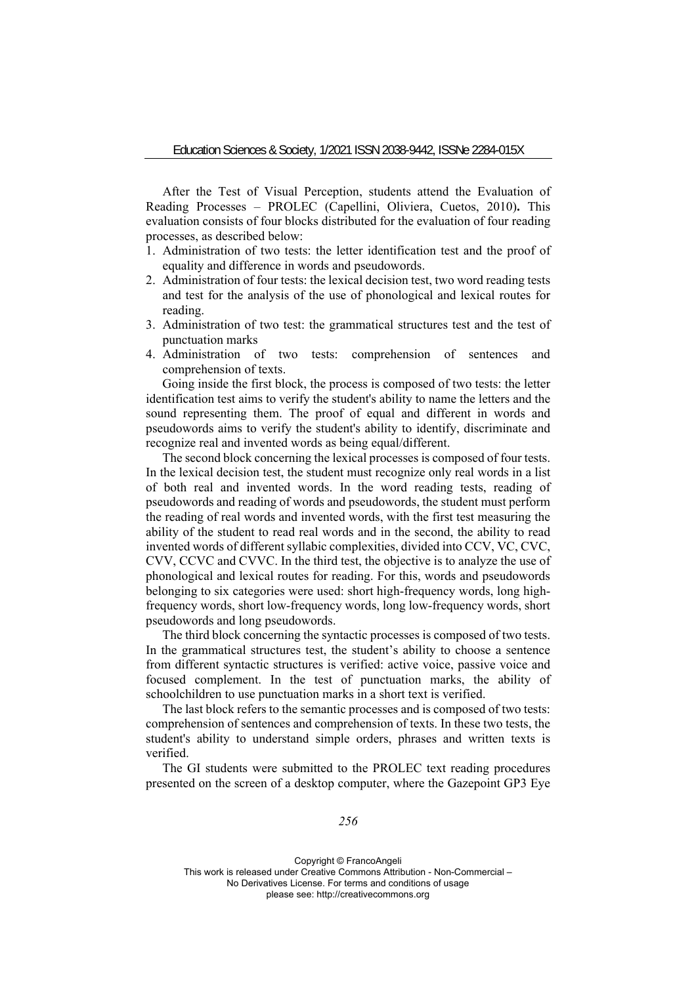After the Test of Visual Perception, students attend the Evaluation of Reading Processes – PROLEC (Capellini, Oliviera, Cuetos, 2010)**.** This evaluation consists of four blocks distributed for the evaluation of four reading processes, as described below:

- 1. Administration of two tests: the letter identification test and the proof of equality and difference in words and pseudowords.
- 2. Administration of four tests: the lexical decision test, two word reading tests and test for the analysis of the use of phonological and lexical routes for reading.
- 3. Administration of two test: the grammatical structures test and the test of punctuation marks
- 4. Administration of two tests: comprehension of sentences and comprehension of texts.

Going inside the first block, the process is composed of two tests: the letter identification test aims to verify the student's ability to name the letters and the sound representing them. The proof of equal and different in words and pseudowords aims to verify the student's ability to identify, discriminate and recognize real and invented words as being equal/different.

The second block concerning the lexical processes is composed of four tests. In the lexical decision test, the student must recognize only real words in a list of both real and invented words. In the word reading tests, reading of pseudowords and reading of words and pseudowords, the student must perform the reading of real words and invented words, with the first test measuring the ability of the student to read real words and in the second, the ability to read invented words of different syllabic complexities, divided into CCV, VC, CVC, CVV, CCVC and CVVC. In the third test, the objective is to analyze the use of phonological and lexical routes for reading. For this, words and pseudowords belonging to six categories were used: short high-frequency words, long highfrequency words, short low-frequency words, long low-frequency words, short pseudowords and long pseudowords.

The third block concerning the syntactic processes is composed of two tests. In the grammatical structures test, the student's ability to choose a sentence from different syntactic structures is verified: active voice, passive voice and focused complement. In the test of punctuation marks, the ability of schoolchildren to use punctuation marks in a short text is verified.

The last block refers to the semantic processes and is composed of two tests: comprehension of sentences and comprehension of texts. In these two tests, the student's ability to understand simple orders, phrases and written texts is verified.

The GI students were submitted to the PROLEC text reading procedures presented on the screen of a desktop computer, where the Gazepoint GP3 Eye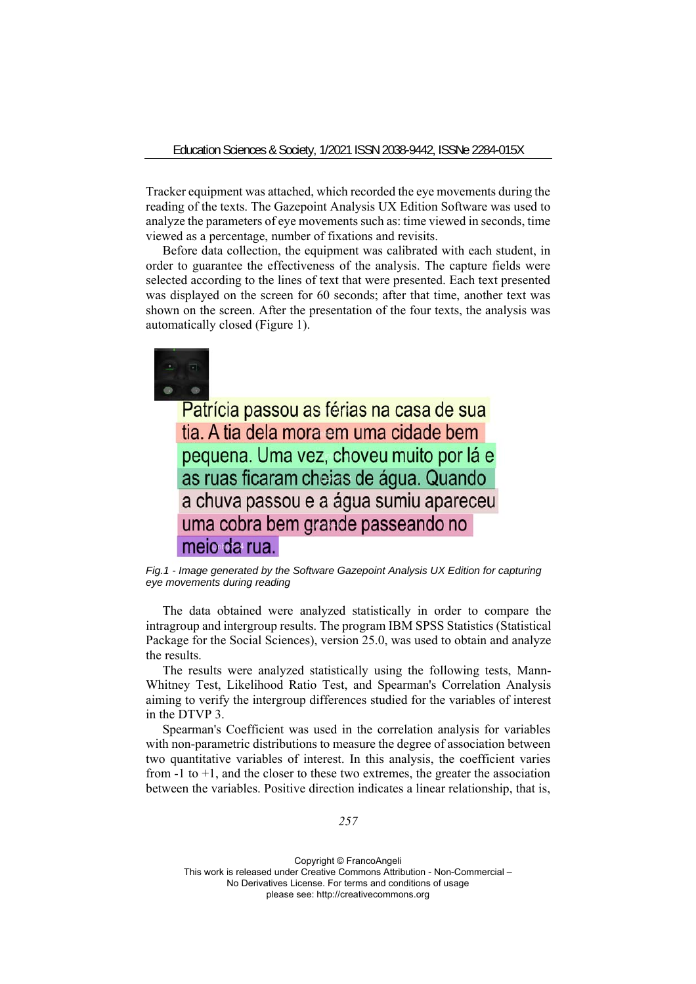Tracker equipment was attached, which recorded the eye movements during the reading of the texts. The Gazepoint Analysis UX Edition Software was used to analyze the parameters of eye movements such as: time viewed in seconds, time viewed as a percentage, number of fixations and revisits.

Before data collection, the equipment was calibrated with each student, in order to guarantee the effectiveness of the analysis. The capture fields were selected according to the lines of text that were presented. Each text presented was displayed on the screen for 60 seconds; after that time, another text was shown on the screen. After the presentation of the four texts, the analysis was automatically closed (Figure 1).



Patrícia passou as férias na casa de sua tia. A tia dela mora em uma cidade bem pequena. Uma vez, choveu muito por lá e as ruas ficaram cheias de água. Quando a chuva passou e a água sumiu apareceu uma cobra bem grande passeando no meio da rua.

*Fig.1 - Image generated by the Software Gazepoint Analysis UX Edition for capturing eye movements during reading*

The data obtained were analyzed statistically in order to compare the intragroup and intergroup results. The program IBM SPSS Statistics (Statistical Package for the Social Sciences), version 25.0, was used to obtain and analyze the results.

The results were analyzed statistically using the following tests, Mann-Whitney Test, Likelihood Ratio Test, and Spearman's Correlation Analysis aiming to verify the intergroup differences studied for the variables of interest in the DTVP 3.

Spearman's Coefficient was used in the correlation analysis for variables with non-parametric distributions to measure the degree of association between two quantitative variables of interest. In this analysis, the coefficient varies from  $-1$  to  $+1$ , and the closer to these two extremes, the greater the association between the variables. Positive direction indicates a linear relationship, that is,

*257*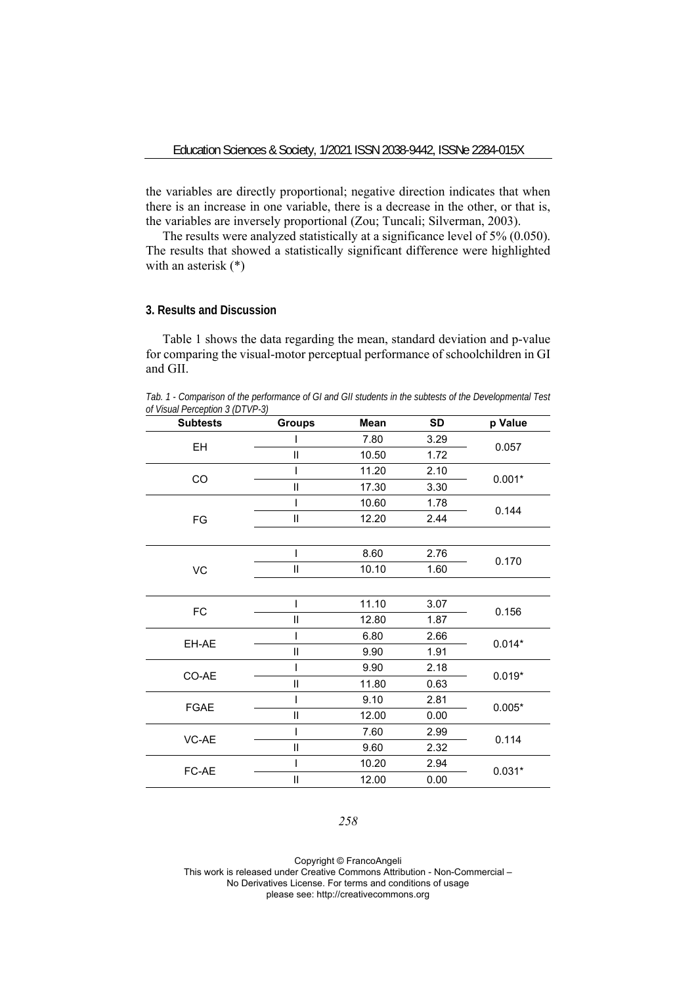the variables are directly proportional; negative direction indicates that when there is an increase in one variable, there is a decrease in the other, or that is, the variables are inversely proportional (Zou; Tuncali; Silverman, 2003).

The results were analyzed statistically at a significance level of 5% (0.050). The results that showed a statistically significant difference were highlighted with an asterisk (\*)

# **3. Results and Discussion**

Table 1 shows the data regarding the mean, standard deviation and p-value for comparing the visual-motor perceptual performance of schoolchildren in GI and GII.

*Tab. 1 - Comparison of the performance of GI and GII students in the subtests of the Developmental Test of Visual Perception 3 (DTVP-3)* 

| <b>Subtests</b> | <b>Groups</b> | Mean  | <b>SD</b> | p Value         |
|-----------------|---------------|-------|-----------|-----------------|
| EH              |               | 7.80  | 3.29      | 0.057           |
|                 | Ш             | 10.50 |           |                 |
|                 |               | 11.20 | 2.10      | $0.001*$        |
| CO              | Ш             | 17.30 | 3.30      |                 |
|                 |               | 10.60 | 1.78      | 0.144           |
| FG              | Ш             | 12.20 | 2.44      |                 |
|                 |               |       |           |                 |
|                 | L             | 8.60  | 2.76      |                 |
| VC              | Ш             | 10.10 | 1.60      | 0.170           |
|                 |               |       |           |                 |
|                 | L             | 11.10 | 3.07      |                 |
| ${\sf FC}$      | II            | 12.80 | 1.87      | 0.156           |
| EH-AE           |               | 6.80  | 2.66      | $0.014*$        |
|                 | II            | 9.90  | 1.91      |                 |
| CO-AE           |               | 9.90  | 2.18      | $0.019*$        |
|                 | Ш             | 11.80 | 0.63      |                 |
| <b>FGAE</b>     | ı             | 9.10  | 2.81      | $0.005^{\star}$ |
|                 | П             | 12.00 | 0.00      |                 |
|                 |               | 7.60  | 2.99      | 0.114           |
| VC-AE           | Ш             | 9.60  | 2.32      |                 |
|                 |               | 10.20 | 2.94      | $0.031*$        |
| FC-AE           | Ш             | 12.00 | 0.00      |                 |

## *258*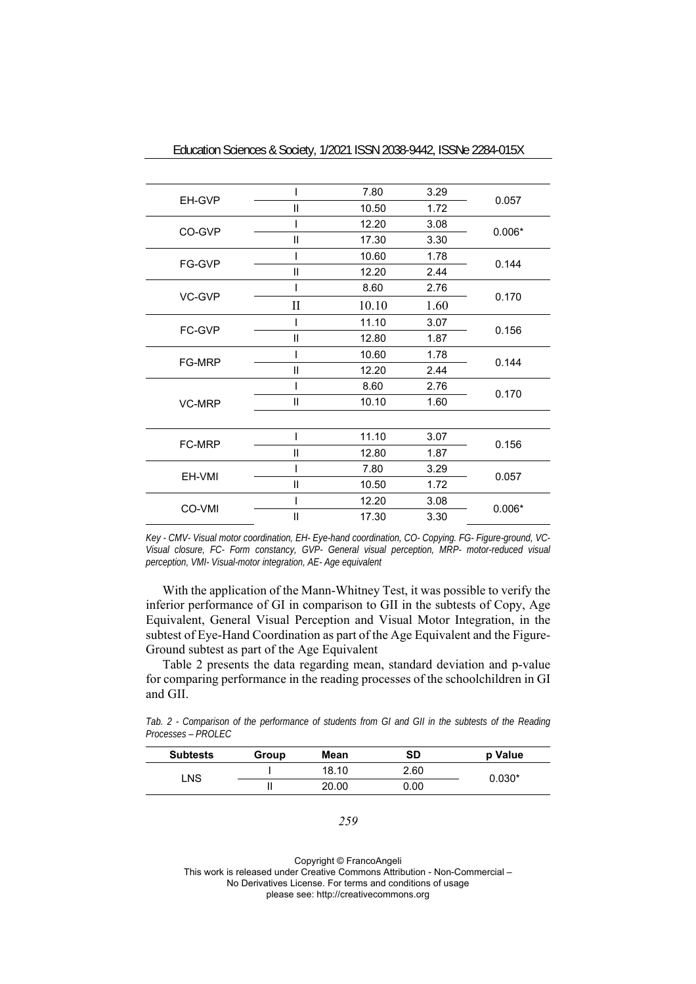|               |               | 7.80  | 3.29 |          |  |
|---------------|---------------|-------|------|----------|--|
| EH-GVP        | $\mathsf{II}$ | 10.50 | 1.72 | 0.057    |  |
| CO-GVP        |               | 12.20 | 3.08 |          |  |
|               | $\mathsf{II}$ | 17.30 | 3.30 | $0.006*$ |  |
| FG-GVP        |               | 10.60 | 1.78 | 0.144    |  |
|               | $\mathsf{II}$ | 12.20 | 2.44 |          |  |
|               |               | 8.60  | 2.76 |          |  |
| VC-GVP        | $\mathbf{I}$  | 10.10 | 1.60 | 0.170    |  |
| FC-GVP        |               | 11.10 | 3.07 |          |  |
|               | $\sf II$      | 12.80 | 1.87 | 0.156    |  |
| <b>FG-MRP</b> |               | 10.60 | 1.78 |          |  |
|               | $\mathsf{II}$ | 12.20 | 2.44 | 0.144    |  |
|               |               | 8.60  | 2.76 | 0.170    |  |
| <b>VC-MRP</b> | $\mathsf{II}$ | 10.10 | 1.60 |          |  |
|               |               |       |      |          |  |
| <b>FC-MRP</b> |               | 11.10 | 3.07 |          |  |
|               | $\mathsf{II}$ | 12.80 | 1.87 | 0.156    |  |
| EH-VMI        |               | 7.80  | 3.29 |          |  |
|               | $\mathsf{II}$ | 10.50 | 1.72 | 0.057    |  |
|               |               | 12.20 | 3.08 |          |  |
| CO-VMI        | Ш             |       | 3.30 | $0.006*$ |  |

Education Sciences & Society, 1/2021 ISSN 2038-9442, ISSNe 2284-015X

*Key - CMV- Visual motor coordination, EH- Eye-hand coordination, CO- Copying. FG- Figure-ground, VC-Visual closure, FC- Form constancy, GVP- General visual perception, MRP- motor-reduced visual perception, VMI- Visual-motor integration, AE- Age equivalent* 

With the application of the Mann-Whitney Test, it was possible to verify the inferior performance of GI in comparison to GII in the subtests of Copy, Age Equivalent, General Visual Perception and Visual Motor Integration, in the subtest of Eye-Hand Coordination as part of the Age Equivalent and the Figure-Ground subtest as part of the Age Equivalent

Table 2 presents the data regarding mean, standard deviation and p-value for comparing performance in the reading processes of the schoolchildren in GI and GII.

*Tab. 2 - Comparison of the performance of students from GI and GII in the subtests of the Reading Processes – PROLEC* 

| <b>Subtests</b> | Group | Mean  | SD   | p Value  |
|-----------------|-------|-------|------|----------|
| _NS             |       | 18.10 | 2.60 | $0.030*$ |
|                 |       | 20.00 | 0.00 |          |

*259*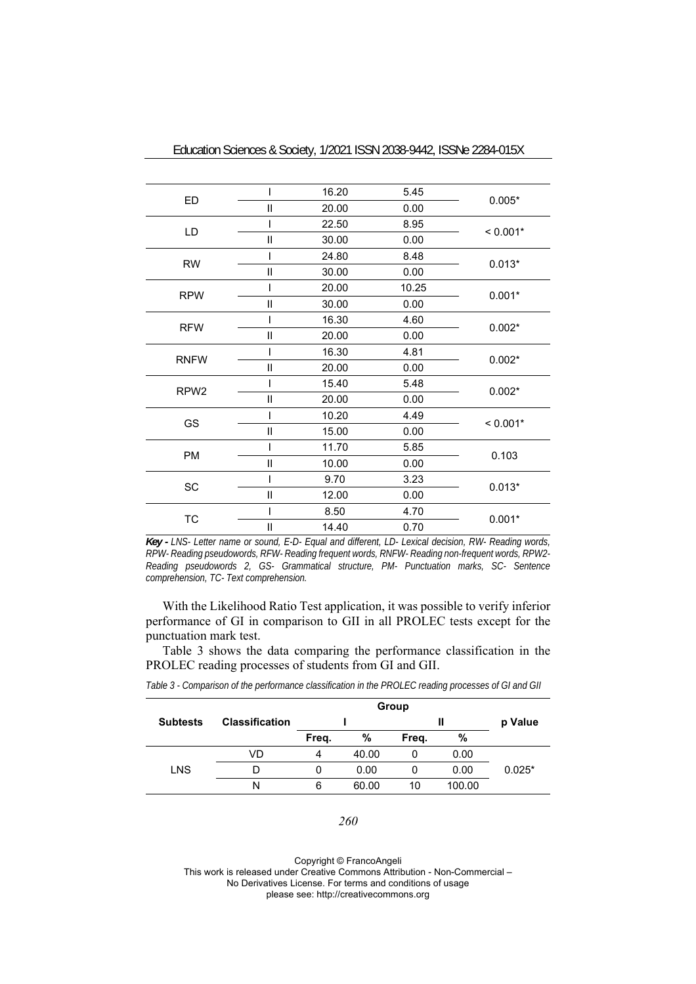|                  |               | 16.20 | 5.45  |            |
|------------------|---------------|-------|-------|------------|
| <b>ED</b>        | $\mathsf{I}$  | 20.00 | 0.00  | $0.005*$   |
| LD.              |               | 22.50 | 8.95  |            |
|                  | $\mathsf{II}$ | 30.00 | 0.00  | $< 0.001*$ |
| <b>RW</b>        |               | 24.80 | 8.48  | $0.013*$   |
|                  | $\mathsf{I}$  | 30.00 | 0.00  |            |
| <b>RPW</b>       |               | 20.00 | 10.25 | $0.001*$   |
|                  | $\mathsf{I}$  | 30.00 | 0.00  |            |
| <b>RFW</b>       |               | 16.30 | 4.60  |            |
|                  | $\mathsf{II}$ | 20.00 | 0.00  | $0.002*$   |
|                  |               | 16.30 | 4.81  |            |
| <b>RNFW</b>      | $\sf II$      | 20.00 | 0.00  | $0.002*$   |
|                  |               | 15.40 | 5.48  |            |
| RPW <sub>2</sub> | $\mathbf{I}$  | 20.00 | 0.00  | $0.002*$   |
| GS               |               | 10.20 | 4.49  |            |
|                  | Ш             | 15.00 | 0.00  | $< 0.001*$ |
| <b>PM</b>        |               | 11.70 | 5.85  |            |
|                  | $\mathsf{I}$  | 10.00 | 0.00  | 0.103      |
| SC               |               | 9.70  | 3.23  |            |
|                  | $\mathbf{I}$  | 12.00 | 0.00  | $0.013*$   |
|                  |               | 8.50  | 4.70  |            |
| <b>TC</b>        | $\mathsf{II}$ | 14.40 | 0.70  | $0.001*$   |

Education Sciences & Society, 1/2021 ISSN 2038-9442, ISSNe 2284-015X

*Key - LNS- Letter name or sound, E-D- Equal and different, LD- Lexical decision, RW- Reading words, RPW- Reading pseudowords, RFW- Reading frequent words, RNFW- Reading non-frequent words, RPW2- Reading pseudowords 2, GS- Grammatical structure, PM- Punctuation marks, SC- Sentence comprehension, TC- Text comprehension.* 

With the Likelihood Ratio Test application, it was possible to verify inferior performance of GI in comparison to GII in all PROLEC tests except for the punctuation mark test.

Table 3 shows the data comparing the performance classification in the PROLEC reading processes of students from GI and GII.

*Table 3 - Comparison of the performance classification in the PROLEC reading processes of GI and GII* 

| <b>Subtests</b> | <b>Classification</b> |       |       |       | p Value |          |
|-----------------|-----------------------|-------|-------|-------|---------|----------|
|                 |                       | Freq. | %     | Freq. | %       |          |
|                 | VD                    | 4     | 40.00 |       | 0.00    |          |
| <b>LNS</b>      | D                     | 0     | 0.00  |       | 0.00    | $0.025*$ |
|                 | N                     | 6     | 60.00 | 10    | 100.00  |          |

*260* 

Copyright © FrancoAngeli

This work is released under Creative Commons Attribution - Non-Commercial –

No Derivatives License. For terms and conditions of usage

please see: http://creativecommons.org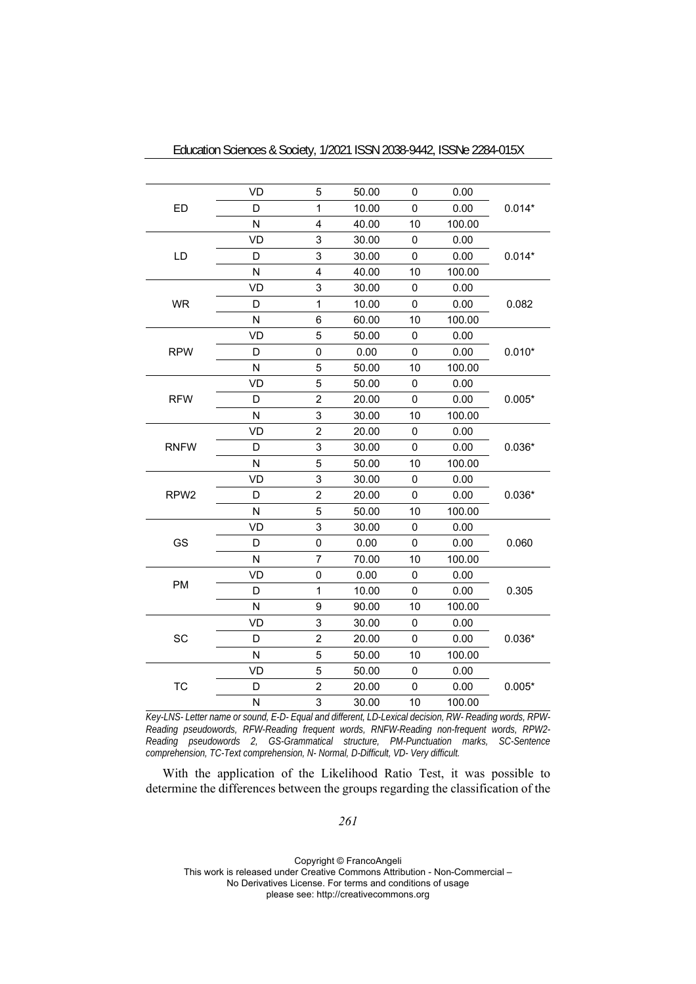|                  | VD | 5                | 50.00 | 0           | 0.00   |          |
|------------------|----|------------------|-------|-------------|--------|----------|
| ED               | D  | 1                | 10.00 | $\mathbf 0$ | 0.00   | $0.014*$ |
|                  | N  | $\overline{4}$   | 40.00 | 10          | 100.00 |          |
|                  | VD | 3                | 30.00 | 0           | 0.00   |          |
| LD               | D  | 3                | 30.00 | 0           | 0.00   | $0.014*$ |
|                  | N  | 4                | 40.00 | 10          | 100.00 |          |
|                  | VD | 3                | 30.00 | 0           | 0.00   |          |
| <b>WR</b>        | D  | $\mathbf{1}$     | 10.00 | $\mathbf 0$ | 0.00   | 0.082    |
|                  | Ν  | 6                | 60.00 | 10          | 100.00 |          |
|                  | VD | 5                | 50.00 | $\pmb{0}$   | 0.00   |          |
| <b>RPW</b>       | D  | $\mathbf 0$      | 0.00  | 0           | 0.00   | $0.010*$ |
|                  | N  | 5                | 50.00 | 10          | 100.00 |          |
|                  | VD | 5                | 50.00 | 0           | 0.00   |          |
| <b>RFW</b>       | D  | $\boldsymbol{2}$ | 20.00 | $\mathbf 0$ | 0.00   | $0.005*$ |
|                  | N  | 3                | 30.00 | 10          | 100.00 |          |
|                  | VD | $\overline{c}$   | 20.00 | 0           | 0.00   |          |
| <b>RNFW</b>      | D  | 3                | 30.00 | 0           | 0.00   | $0.036*$ |
|                  | Ν  | 5                | 50.00 | 10          | 100.00 |          |
|                  | VD | 3                | 30.00 | 0           | 0.00   |          |
| RPW <sub>2</sub> | D  | $\overline{2}$   | 20.00 | 0           | 0.00   | $0.036*$ |
|                  | N  | 5                | 50.00 | 10          | 100.00 |          |
|                  | VD | 3                | 30.00 | 0           | 0.00   |          |
| GS               | D  | 0                | 0.00  | $\mathbf 0$ | 0.00   | 0.060    |
|                  | N  | 7                | 70.00 | 10          | 100.00 |          |
|                  | VD | $\mathbf 0$      | 0.00  | 0           | 0.00   |          |
| PM               | D  | 1                | 10.00 | 0           | 0.00   | 0.305    |
|                  | N  | 9                | 90.00 | 10          | 100.00 |          |
|                  | VD | 3                | 30.00 | 0           | 0.00   |          |
| SC               | D  | $\overline{c}$   | 20.00 | $\mathbf 0$ | 0.00   | $0.036*$ |
|                  | N  | 5                | 50.00 | 10          | 100.00 |          |
|                  | VD | 5                | 50.00 | 0           | 0.00   |          |
| <b>TC</b>        | D  | $\overline{c}$   | 20.00 | $\mathbf 0$ | 0.00   | $0.005*$ |
|                  | N  | 3                | 30.00 | 10          | 100.00 |          |

Education Sciences & Society, 1/2021 ISSN 2038-9442, ISSNe 2284-015X

*Key-LNS- Letter name or sound, E-D- Equal and different, LD-Lexical decision, RW- Reading words, RPW-Reading pseudowords, RFW-Reading frequent words, RNFW-Reading non-frequent words, RPW2- Reading pseudowords 2, GS-Grammatical structure, PM-Punctuation marks, SC-Sentence comprehension, TC-Text comprehension, N- Normal, D-Difficult, VD- Very difficult.* 

With the application of the Likelihood Ratio Test, it was possible to determine the differences between the groups regarding the classification of the

*261*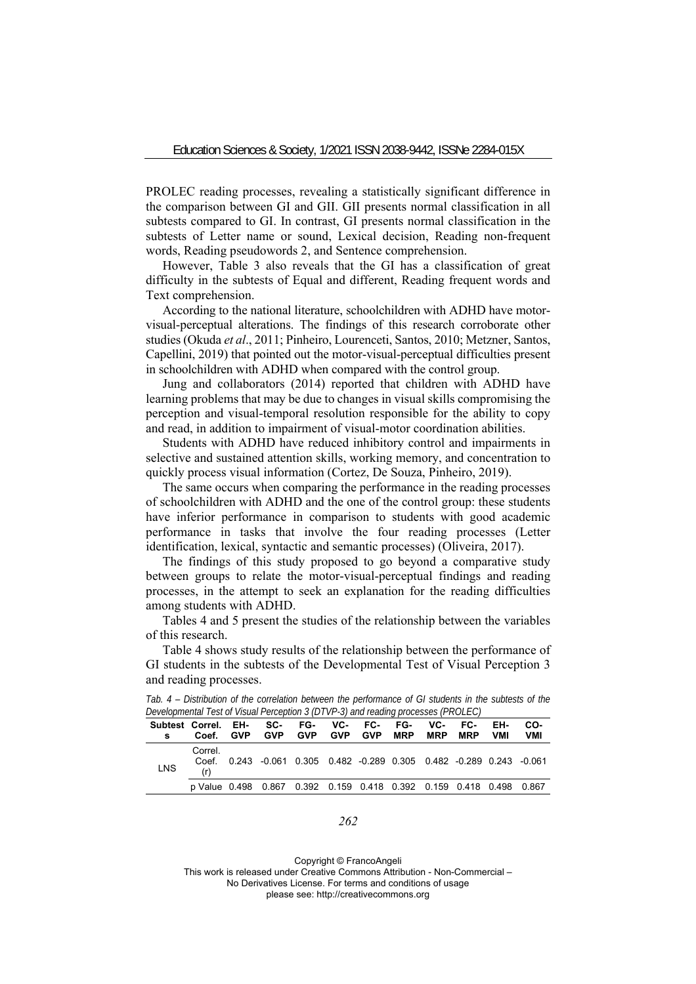PROLEC reading processes, revealing a statistically significant difference in the comparison between GI and GII. GII presents normal classification in all subtests compared to GI. In contrast, GI presents normal classification in the subtests of Letter name or sound, Lexical decision, Reading non-frequent words, Reading pseudowords 2, and Sentence comprehension.

However, Table 3 also reveals that the GI has a classification of great difficulty in the subtests of Equal and different, Reading frequent words and Text comprehension.

According to the national literature, schoolchildren with ADHD have motorvisual-perceptual alterations. The findings of this research corroborate other studies (Okuda *et al*., 2011; Pinheiro, Lourenceti, Santos, 2010; Metzner, Santos, Capellini, 2019) that pointed out the motor-visual-perceptual difficulties present in schoolchildren with ADHD when compared with the control group.

Jung and collaborators (2014) reported that children with ADHD have learning problems that may be due to changes in visual skills compromising the perception and visual-temporal resolution responsible for the ability to copy and read, in addition to impairment of visual-motor coordination abilities.

Students with ADHD have reduced inhibitory control and impairments in selective and sustained attention skills, working memory, and concentration to quickly process visual information (Cortez, De Souza, Pinheiro, 2019).

The same occurs when comparing the performance in the reading processes of schoolchildren with ADHD and the one of the control group: these students have inferior performance in comparison to students with good academic performance in tasks that involve the four reading processes (Letter identification, lexical, syntactic and semantic processes) (Oliveira, 2017).

The findings of this study proposed to go beyond a comparative study between groups to relate the motor-visual-perceptual findings and reading processes, in the attempt to seek an explanation for the reading difficulties among students with ADHD.

Tables 4 and 5 present the studies of the relationship between the variables of this research.

Table 4 shows study results of the relationship between the performance of GI students in the subtests of the Developmental Test of Visual Perception 3 and reading processes.

| Developmental Test of Visual Felteption 3 (DTVF-3) and reading processes (FROLLO) |                                                                     |     |                                                                      |  |  |                             |  |  |  |            |            |
|-----------------------------------------------------------------------------------|---------------------------------------------------------------------|-----|----------------------------------------------------------------------|--|--|-----------------------------|--|--|--|------------|------------|
| Subtest Correl. EH- SC- FG- VC- FC- FG- VC- FC-                                   | Coef                                                                | GVP |                                                                      |  |  | GVP GVP GVP GVP MRP MRP MRP |  |  |  | EH-<br>VMI | CO-<br>VMI |
| <b>LNS</b>                                                                        | Correl.<br>(r)                                                      |     | Coef 0.243 -0.061 0.305 0.482 -0.289 0.305 0.482 -0.289 0.243 -0.061 |  |  |                             |  |  |  |            |            |
|                                                                                   | p Value 0.498 0.867 0.392 0.159 0.418 0.392 0.159 0.418 0.498 0.867 |     |                                                                      |  |  |                             |  |  |  |            |            |

*Tab. 4 – Distribution of the correlation between the performance of GI students in the subtests of the Developmental Test of Visual Perception 3 (DTVP-3) and reading processes (PROLEC)* 

*262* 

Copyright © FrancoAngeli

This work is released under Creative Commons Attribution - Non-Commercial –

No Derivatives License. For terms and conditions of usage

please see: http://creativecommons.org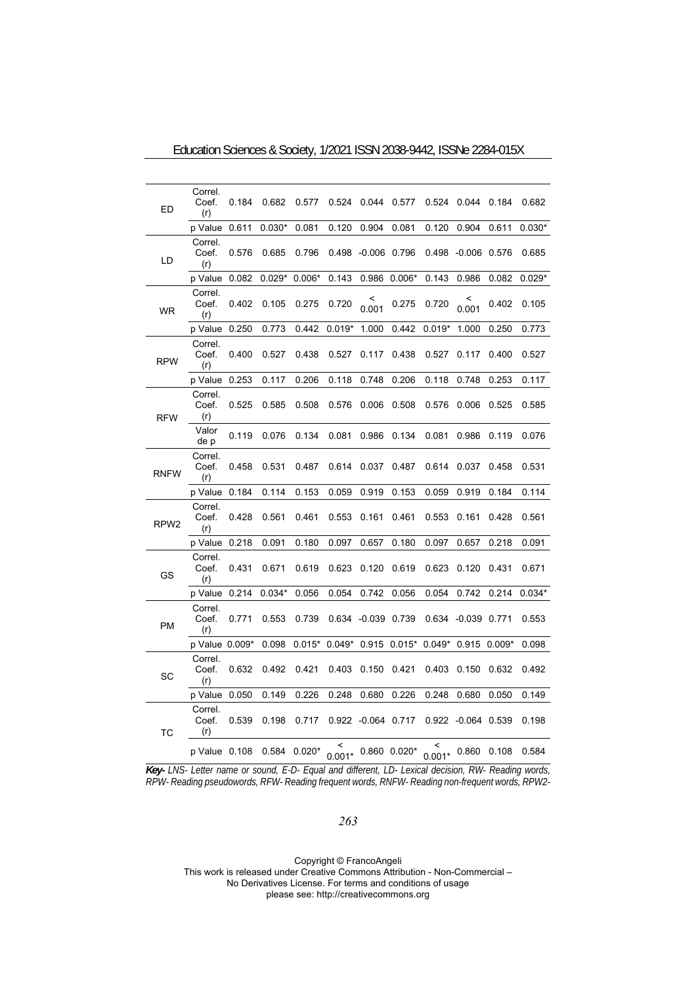Education Sciences & Society, 1/2021 ISSN 2038-9442, ISSNe 2284-015X

| ED               | Correl.<br>Coef.<br>(r) | 0.184 | 0.682    | 0.577    | 0.524    | 0.044              | 0.577                 | 0.524    | 0.044              | 0.184    | 0.682    |
|------------------|-------------------------|-------|----------|----------|----------|--------------------|-----------------------|----------|--------------------|----------|----------|
|                  | p Value                 | 0.611 | $0.030*$ | 0.081    | 0.120    | 0.904              | 0.081                 | 0.120    | 0.904              | 0.611    | $0.030*$ |
| LD               | Correl.<br>Coef.<br>(r) | 0.576 | 0.685    | 0.796    |          | 0.498 -0.006 0.796 |                       |          | 0.498 -0.006 0.576 |          | 0.685    |
|                  | p Value                 | 0.082 | $0.029*$ | $0.006*$ | 0.143    | 0.986              | $0.006*$              | 0.143    | 0.986              | 0.082    | $0.029*$ |
| WR               | Correl.<br>Coef.<br>(r) | 0.402 | 0.105    | 0.275    | 0.720    | 0.001              | 0.275                 | 0.720    | 0.001              | 0.402    | 0.105    |
|                  | p Value 0.250           |       | 0.773    | 0.442    | $0.019*$ | 1.000              | 0.442                 | $0.019*$ | 1.000              | 0.250    | 0.773    |
| <b>RPW</b>       | Correl.<br>Coef.<br>(r) | 0.400 | 0.527    | 0.438    | 0.527    | 0.117              | 0.438                 | 0.527    | 0.117              | 0.400    | 0.527    |
|                  | p Value 0.253           |       | 0.117    | 0.206    | 0.118    | 0.748              | 0.206                 | 0.118    | 0.748              | 0.253    | 0.117    |
| <b>RFW</b>       | Correl.<br>Coef.<br>(r) | 0.525 | 0.585    | 0.508    | 0.576    | 0.006              | 0.508                 | 0.576    | 0.006              | 0.525    | 0.585    |
|                  | Valor<br>de p           | 0.119 | 0.076    | 0.134    | 0.081    | 0.986              | 0.134                 | 0.081    | 0.986              | 0.119    | 0.076    |
| <b>RNFW</b>      | Correl.<br>Coef.<br>(r) | 0.458 | 0.531    | 0.487    | 0.614    | 0.037              | 0.487                 | 0.614    | 0.037              | 0.458    | 0.531    |
|                  | p Value                 | 0.184 | 0.114    | 0.153    | 0.059    | 0.919              | 0.153                 | 0.059    | 0.919              | 0.184    | 0.114    |
| RPW <sub>2</sub> | Correl.<br>Coef.<br>(r) | 0.428 | 0.561    | 0.461    | 0.553    | 0.161              | 0.461                 | 0.553    | 0.161              | 0.428    | 0.561    |
|                  | p Value 0.218           |       | 0.091    | 0.180    | 0.097    | 0.657              | 0.180                 | 0.097    | 0.657              | 0.218    | 0.091    |
| GS               | Correl.<br>Coef.<br>(r) | 0.431 | 0.671    | 0.619    | 0.623    | 0.120              | 0.619                 | 0.623    | 0.120              | 0.431    | 0.671    |
|                  | p Value 0.214           |       | $0.034*$ | 0.056    | 0.054    | 0.742              | 0.056                 | 0.054    | 0.742              | 0.214    | $0.034*$ |
| PM               | Correl.<br>Coef.<br>(r) | 0.771 | 0.553    | 0.739    |          | 0.634 -0.039 0.739 |                       |          | 0.634 -0.039 0.771 |          | 0.553    |
|                  | p Value 0.009*          |       | 0.098    | $0.015*$ | $0.049*$ |                    | $0.915$ $0.015*$      | $0.049*$ | 0.915              | $0.009*$ | 0.098    |
| SC               | Correl.<br>Coef.<br>(r) | 0.632 | 0.492    | 0.421    | 0.403    | 0.150              | 0.421                 | 0.403    | 0.150              | 0.632    | 0.492    |
|                  | p Value                 | 0.050 | 0.149    | 0.226    | 0.248    | 0.680              | 0.226                 | 0.248    | 0.680              | 0.050    | 0.149    |
| ТC               | Correl.<br>Coef.<br>(r) | 0.539 | 0.198    | 0.717    |          | 0.922 -0.064 0.717 |                       |          | 0.922 -0.064       | 0.539    | 0.198    |
|                  | p Value 0.108           |       | 0.584    | $0.020*$ |          |                    | $0.001*$ 0.860 0.020* | $0.001*$ | 0.860              | 0.108    | 0.584    |

*Key- LNS- Letter name or sound, E-D- Equal and different, LD- Lexical decision, RW- Reading words, RPW- Reading pseudowords, RFW- Reading frequent words, RNFW- Reading non-frequent words, RPW2-* 

*263*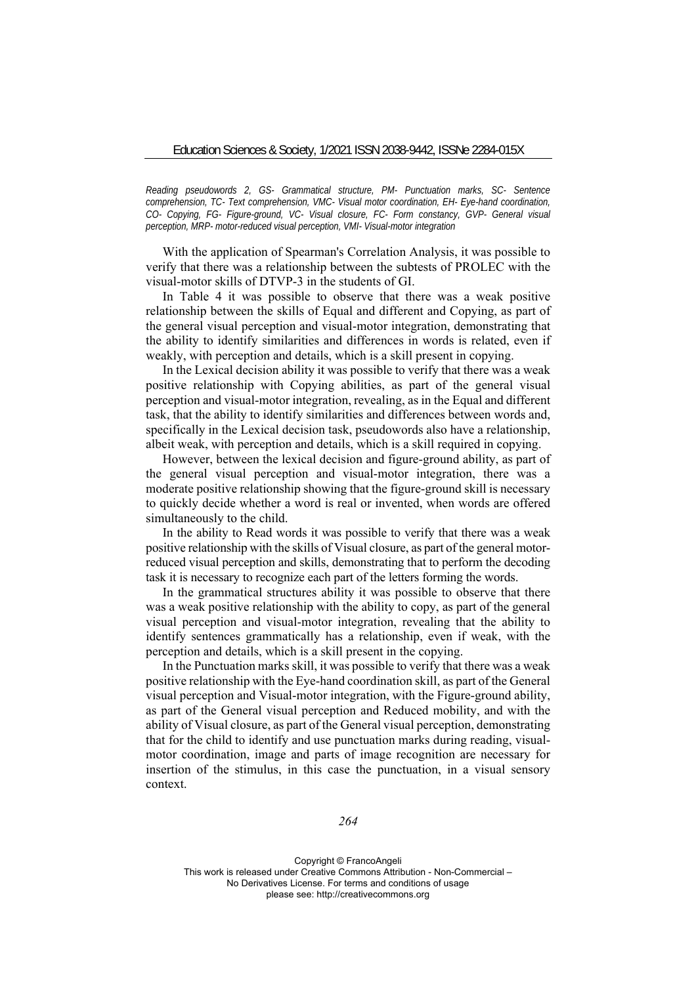*Reading pseudowords 2, GS- Grammatical structure, PM- Punctuation marks, SC- Sentence comprehension, TC- Text comprehension, VMC- Visual motor coordination, EH- Eye-hand coordination, CO- Copying, FG- Figure-ground, VC- Visual closure, FC- Form constancy, GVP- General visual perception, MRP- motor-reduced visual perception, VMI- Visual-motor integration* 

With the application of Spearman's Correlation Analysis, it was possible to verify that there was a relationship between the subtests of PROLEC with the visual-motor skills of DTVP-3 in the students of GI.

In Table 4 it was possible to observe that there was a weak positive relationship between the skills of Equal and different and Copying, as part of the general visual perception and visual-motor integration, demonstrating that the ability to identify similarities and differences in words is related, even if weakly, with perception and details, which is a skill present in copying.

In the Lexical decision ability it was possible to verify that there was a weak positive relationship with Copying abilities, as part of the general visual perception and visual-motor integration, revealing, as in the Equal and different task, that the ability to identify similarities and differences between words and, specifically in the Lexical decision task, pseudowords also have a relationship, albeit weak, with perception and details, which is a skill required in copying.

However, between the lexical decision and figure-ground ability, as part of the general visual perception and visual-motor integration, there was a moderate positive relationship showing that the figure-ground skill is necessary to quickly decide whether a word is real or invented, when words are offered simultaneously to the child.

In the ability to Read words it was possible to verify that there was a weak positive relationship with the skills of Visual closure, as part of the general motorreduced visual perception and skills, demonstrating that to perform the decoding task it is necessary to recognize each part of the letters forming the words.

In the grammatical structures ability it was possible to observe that there was a weak positive relationship with the ability to copy, as part of the general visual perception and visual-motor integration, revealing that the ability to identify sentences grammatically has a relationship, even if weak, with the perception and details, which is a skill present in the copying.

In the Punctuation marks skill, it was possible to verify that there was a weak positive relationship with the Eye-hand coordination skill, as part of the General visual perception and Visual-motor integration, with the Figure-ground ability, as part of the General visual perception and Reduced mobility, and with the ability of Visual closure, as part of the General visual perception, demonstrating that for the child to identify and use punctuation marks during reading, visualmotor coordination, image and parts of image recognition are necessary for insertion of the stimulus, in this case the punctuation, in a visual sensory context.

*264*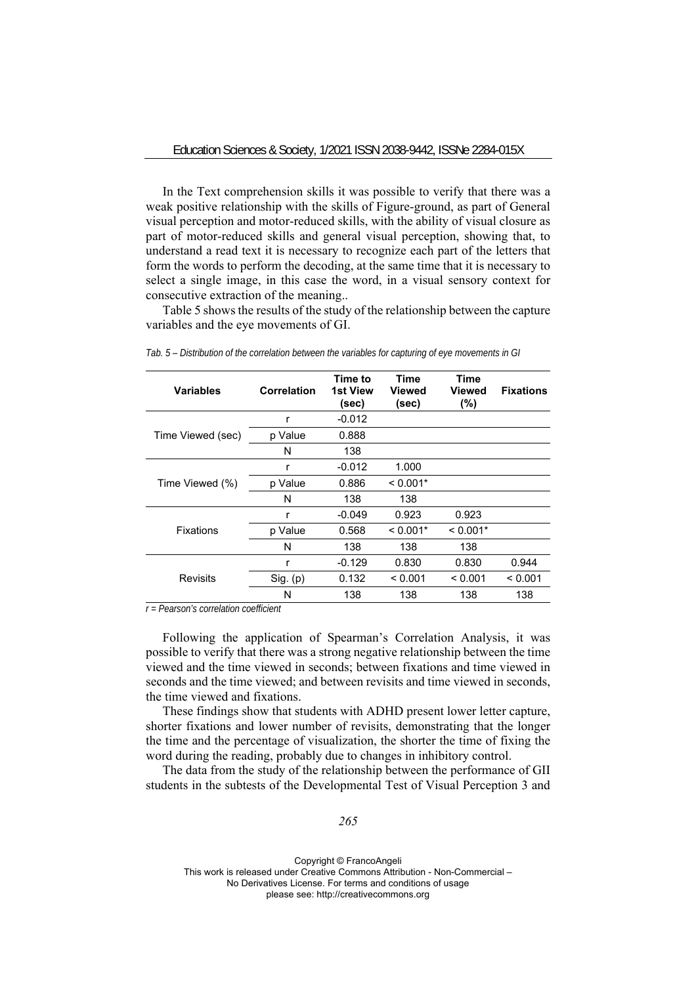In the Text comprehension skills it was possible to verify that there was a weak positive relationship with the skills of Figure-ground, as part of General visual perception and motor-reduced skills, with the ability of visual closure as part of motor-reduced skills and general visual perception, showing that, to understand a read text it is necessary to recognize each part of the letters that form the words to perform the decoding, at the same time that it is necessary to select a single image, in this case the word, in a visual sensory context for consecutive extraction of the meaning..

Table 5 shows the results of the study of the relationship between the capture variables and the eye movements of GI.

| <b>Variables</b>  | Correlation | Time to<br>1st View<br>(sec) | Time<br>Viewed<br>(sec) | Time<br><b>Viewed</b><br>$(\%)$ | <b>Fixations</b> |
|-------------------|-------------|------------------------------|-------------------------|---------------------------------|------------------|
|                   | r           | $-0.012$                     |                         |                                 |                  |
| Time Viewed (sec) | p Value     | 0.888                        |                         |                                 |                  |
|                   | N           | 138                          |                         |                                 |                  |
| Time Viewed (%)   | r           | $-0.012$                     | 1.000                   |                                 |                  |
|                   | p Value     | 0.886                        | $< 0.001*$              |                                 |                  |
|                   | N           | 138                          | 138                     |                                 |                  |
|                   | r           | $-0.049$                     | 0.923                   | 0.923                           |                  |
| <b>Fixations</b>  | p Value     | 0.568                        | $< 0.001*$              | $< 0.001*$                      |                  |
|                   | N           | 138                          | 138                     | 138                             |                  |
|                   | r           | $-0.129$                     | 0.830                   | 0.830                           | 0.944            |
| <b>Revisits</b>   | Sig. (p)    | 0.132                        | < 0.001                 | < 0.001                         | < 0.001          |
|                   | N           | 138                          | 138                     | 138                             | 138              |

*Tab. 5 – Distribution of the correlation between the variables for capturing of eye movements in GI* 

*r = Pearson's correlation coefficient* 

Following the application of Spearman's Correlation Analysis, it was possible to verify that there was a strong negative relationship between the time viewed and the time viewed in seconds; between fixations and time viewed in seconds and the time viewed; and between revisits and time viewed in seconds, the time viewed and fixations.

These findings show that students with ADHD present lower letter capture, shorter fixations and lower number of revisits, demonstrating that the longer the time and the percentage of visualization, the shorter the time of fixing the word during the reading, probably due to changes in inhibitory control.

The data from the study of the relationship between the performance of GII students in the subtests of the Developmental Test of Visual Perception 3 and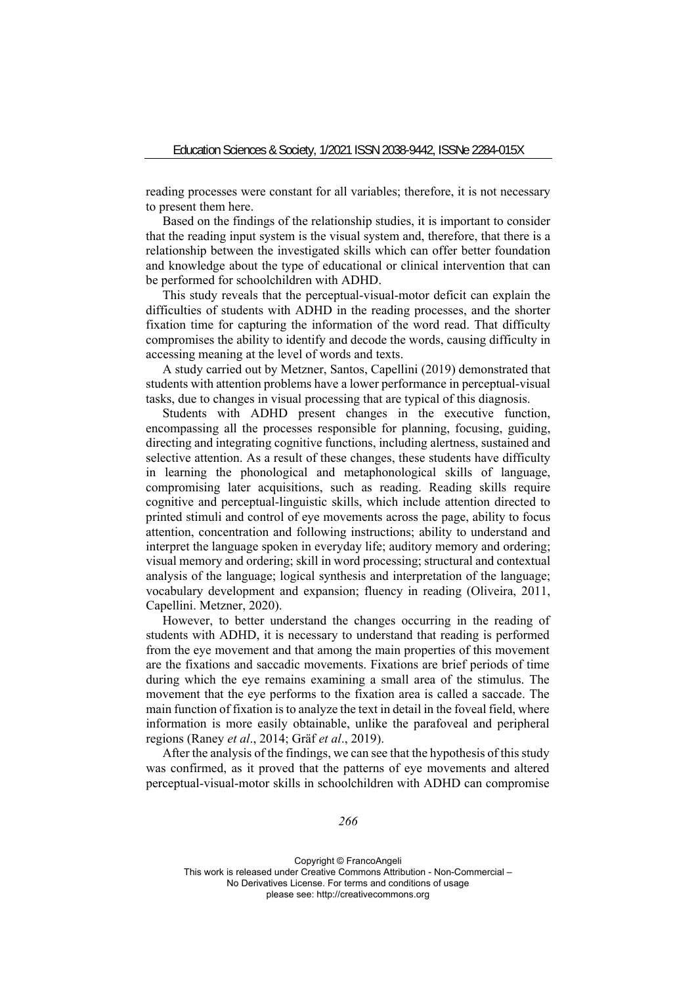reading processes were constant for all variables; therefore, it is not necessary to present them here.

Based on the findings of the relationship studies, it is important to consider that the reading input system is the visual system and, therefore, that there is a relationship between the investigated skills which can offer better foundation and knowledge about the type of educational or clinical intervention that can be performed for schoolchildren with ADHD.

This study reveals that the perceptual-visual-motor deficit can explain the difficulties of students with ADHD in the reading processes, and the shorter fixation time for capturing the information of the word read. That difficulty compromises the ability to identify and decode the words, causing difficulty in accessing meaning at the level of words and texts.

A study carried out by Metzner, Santos, Capellini (2019) demonstrated that students with attention problems have a lower performance in perceptual-visual tasks, due to changes in visual processing that are typical of this diagnosis.

Students with ADHD present changes in the executive function, encompassing all the processes responsible for planning, focusing, guiding, directing and integrating cognitive functions, including alertness, sustained and selective attention. As a result of these changes, these students have difficulty in learning the phonological and metaphonological skills of language, compromising later acquisitions, such as reading. Reading skills require cognitive and perceptual-linguistic skills, which include attention directed to printed stimuli and control of eye movements across the page, ability to focus attention, concentration and following instructions; ability to understand and interpret the language spoken in everyday life; auditory memory and ordering; visual memory and ordering; skill in word processing; structural and contextual analysis of the language; logical synthesis and interpretation of the language; vocabulary development and expansion; fluency in reading (Oliveira, 2011, Capellini. Metzner, 2020).

However, to better understand the changes occurring in the reading of students with ADHD, it is necessary to understand that reading is performed from the eye movement and that among the main properties of this movement are the fixations and saccadic movements. Fixations are brief periods of time during which the eye remains examining a small area of the stimulus. The movement that the eye performs to the fixation area is called a saccade. The main function of fixation is to analyze the text in detail in the foveal field, where information is more easily obtainable, unlike the parafoveal and peripheral regions (Raney *et al*., 2014; Gräf *et al*., 2019).

After the analysis of the findings, we can see that the hypothesis of this study was confirmed, as it proved that the patterns of eye movements and altered perceptual-visual-motor skills in schoolchildren with ADHD can compromise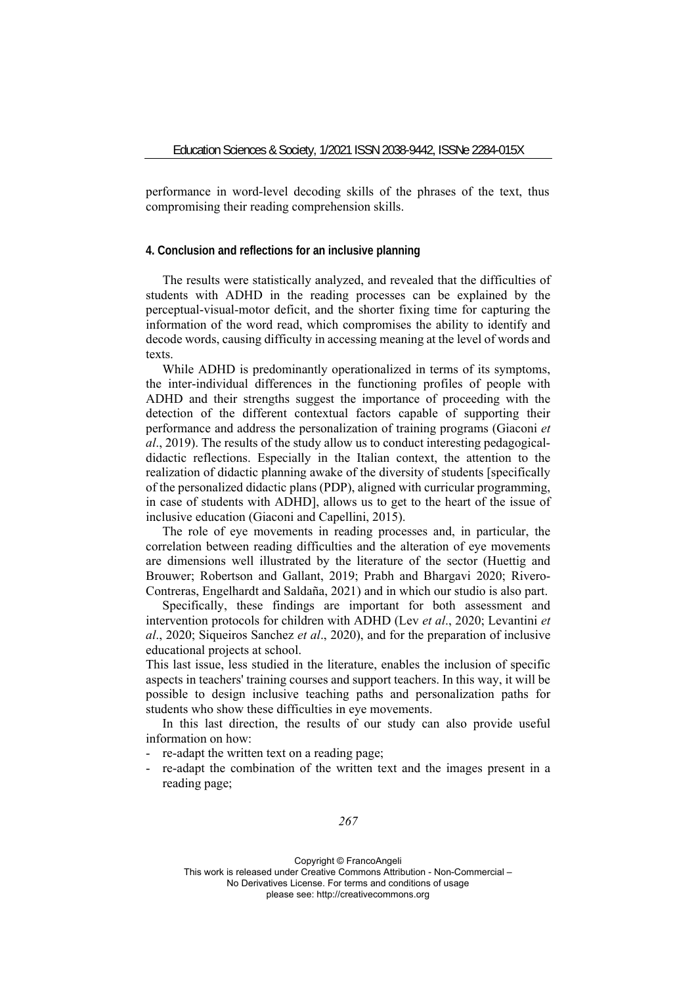performance in word-level decoding skills of the phrases of the text, thus compromising their reading comprehension skills.

# **4. Conclusion and reflections for an inclusive planning**

The results were statistically analyzed, and revealed that the difficulties of students with ADHD in the reading processes can be explained by the perceptual-visual-motor deficit, and the shorter fixing time for capturing the information of the word read, which compromises the ability to identify and decode words, causing difficulty in accessing meaning at the level of words and texts.

While ADHD is predominantly operationalized in terms of its symptoms, the inter-individual differences in the functioning profiles of people with ADHD and their strengths suggest the importance of proceeding with the detection of the different contextual factors capable of supporting their performance and address the personalization of training programs (Giaconi *et al*., 2019). The results of the study allow us to conduct interesting pedagogicaldidactic reflections. Especially in the Italian context, the attention to the realization of didactic planning awake of the diversity of students [specifically of the personalized didactic plans (PDP), aligned with curricular programming, in case of students with ADHD], allows us to get to the heart of the issue of inclusive education (Giaconi and Capellini, 2015).

The role of eye movements in reading processes and, in particular, the correlation between reading difficulties and the alteration of eye movements are dimensions well illustrated by the literature of the sector (Huettig and Brouwer; Robertson and Gallant, 2019; Prabh and Bhargavi 2020; Rivero-Contreras, Engelhardt and Saldaña, 2021) and in which our studio is also part.

Specifically, these findings are important for both assessment and intervention protocols for children with ADHD (Lev *et al*., 2020; Levantini *et al*., 2020; Siqueiros Sanchez *et al*., 2020), and for the preparation of inclusive educational projects at school.

This last issue, less studied in the literature, enables the inclusion of specific aspects in teachers' training courses and support teachers. In this way, it will be possible to design inclusive teaching paths and personalization paths for students who show these difficulties in eye movements.

In this last direction, the results of our study can also provide useful information on how:

- re-adapt the written text on a reading page;
- re-adapt the combination of the written text and the images present in a reading page;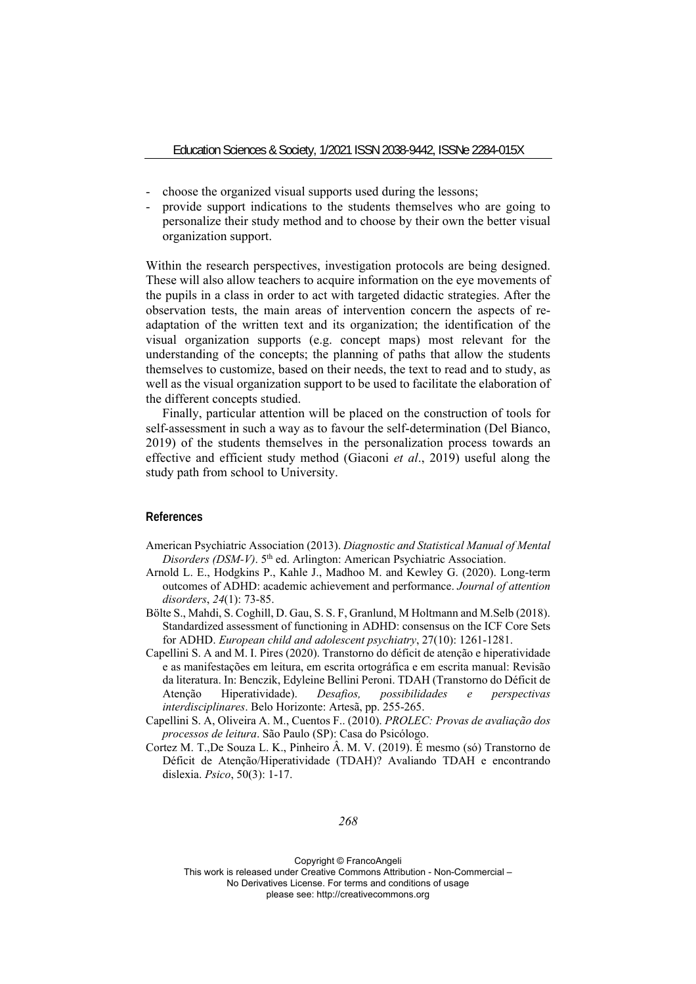- choose the organized visual supports used during the lessons;
- provide support indications to the students themselves who are going to personalize their study method and to choose by their own the better visual organization support.

Within the research perspectives, investigation protocols are being designed. These will also allow teachers to acquire information on the eye movements of the pupils in a class in order to act with targeted didactic strategies. After the observation tests, the main areas of intervention concern the aspects of readaptation of the written text and its organization; the identification of the visual organization supports (e.g. concept maps) most relevant for the understanding of the concepts; the planning of paths that allow the students themselves to customize, based on their needs, the text to read and to study, as well as the visual organization support to be used to facilitate the elaboration of the different concepts studied.

Finally, particular attention will be placed on the construction of tools for self-assessment in such a way as to favour the self-determination (Del Bianco, 2019) of the students themselves in the personalization process towards an effective and efficient study method (Giaconi *et al*., 2019) useful along the study path from school to University.

## **References**

- American Psychiatric Association (2013). *Diagnostic and Statistical Manual of Mental Disorders (DSM-V)*. 5th ed. Arlington: American Psychiatric Association.
- Arnold L. E., Hodgkins P., Kahle J., Madhoo M. and Kewley G. (2020). Long-term outcomes of ADHD: academic achievement and performance. *Journal of attention disorders*, *24*(1): 73-85.
- Bölte S., Mahdi, S. Coghill, D. Gau, S. S. F, Granlund, M Holtmann and M.Selb (2018). Standardized assessment of functioning in ADHD: consensus on the ICF Core Sets for ADHD. *European child and adolescent psychiatry*, 27(10): 1261-1281.
- Capellini S. A and M. I. Pires (2020). Transtorno do déficit de atenção e hiperatividade e as manifestações em leitura, em escrita ortográfica e em escrita manual: Revisão da literatura. In: Benczik, Edyleine Bellini Peroni. TDAH (Transtorno do Déficit de Atenção Hiperatividade). *Desafios, possibilidades e perspectivas interdisciplinares*. Belo Horizonte: Artesã, pp. 255-265.
- Capellini S. A, Oliveira A. M., Cuentos F.. (2010). *PROLEC: Provas de avaliação dos processos de leitura*. São Paulo (SP): Casa do Psicólogo.
- Cortez M. T.,De Souza L. K., Pinheiro Â. M. V. (2019). É mesmo (só) Transtorno de Déficit de Atenção/Hiperatividade (TDAH)? Avaliando TDAH e encontrando dislexia. *Psico*, 50(3): 1-17.

*268*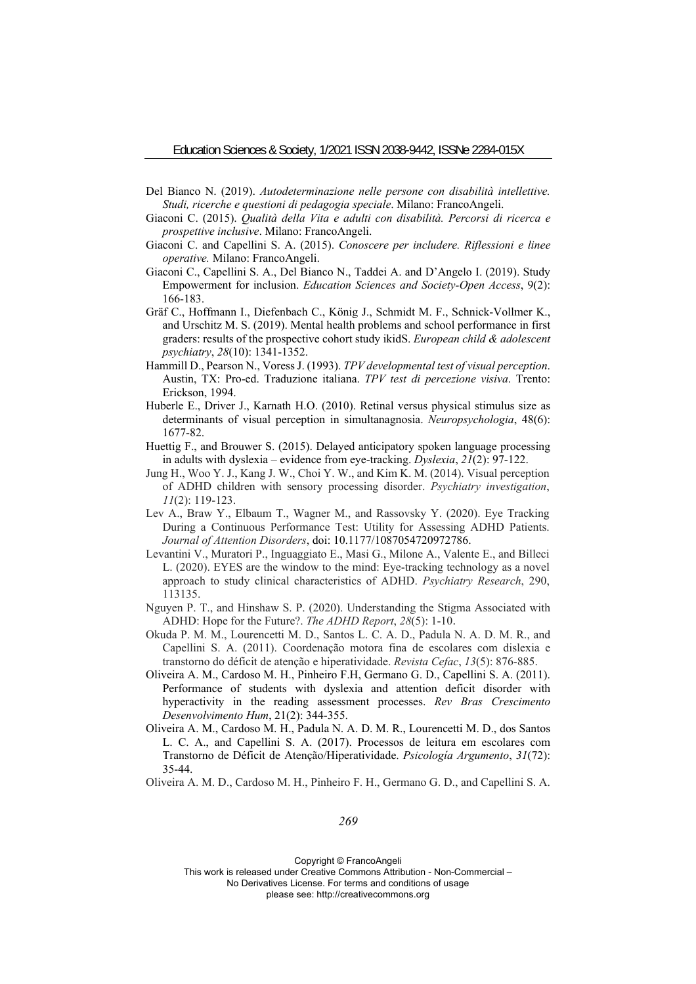- Del Bianco N. (2019). *Autodeterminazione nelle persone con disabilità intellettive. Studi, ricerche e questioni di pedagogia speciale*. Milano: FrancoAngeli.
- Giaconi C. (2015). *Qualità della Vita e adulti con disabilità. Percorsi di ricerca e prospettive inclusive*. Milano: FrancoAngeli.
- Giaconi C. and Capellini S. A. (2015). *Conoscere per includere. Riflessioni e linee operative.* Milano: FrancoAngeli.
- Giaconi C., Capellini S. A., Del Bianco N., Taddei A. and D'Angelo I. (2019). Study Empowerment for inclusion. *Education Sciences and Society-Open Access*, 9(2): 166-183.
- Gräf C., Hoffmann I., Diefenbach C., König J., Schmidt M. F., Schnick-Vollmer K., and Urschitz M. S. (2019). Mental health problems and school performance in first graders: results of the prospective cohort study ikidS. *European child & adolescent psychiatry*, *28*(10): 1341-1352.
- Hammill D., Pearson N., Voress J. (1993). *TPV developmental test of visual perception*. Austin, TX: Pro-ed. Traduzione italiana. *TPV test di percezione visiva*. Trento: Erickson, 1994.
- Huberle E., Driver J., Karnath H.O. (2010). Retinal versus physical stimulus size as determinants of visual perception in simultanagnosia. *Neuropsychologia*, 48(6): 1677-82.
- Huettig F., and Brouwer S. (2015). Delayed anticipatory spoken language processing in adults with dyslexia – evidence from eye‐tracking. *Dyslexia*, *21*(2): 97-122.
- Jung H., Woo Y. J., Kang J. W., Choi Y. W., and Kim K. M. (2014). Visual perception of ADHD children with sensory processing disorder. *Psychiatry investigation*, *11*(2): 119-123.
- Lev A., Braw Y., Elbaum T., Wagner M., and Rassovsky Y. (2020). Eye Tracking During a Continuous Performance Test: Utility for Assessing ADHD Patients. *Journal of Attention Disorders*, doi: 10.1177/1087054720972786.
- Levantini V., Muratori P., Inguaggiato E., Masi G., Milone A., Valente E., and Billeci L. (2020). EYES are the window to the mind: Eye-tracking technology as a novel approach to study clinical characteristics of ADHD. *Psychiatry Research*, 290, 113135.
- Nguyen P. T., and Hinshaw S. P. (2020). Understanding the Stigma Associated with ADHD: Hope for the Future?. *The ADHD Report*, *28*(5): 1-10.
- Okuda P. M. M., Lourencetti M. D., Santos L. C. A. D., Padula N. A. D. M. R., and Capellini S. A. (2011). Coordenação motora fina de escolares com dislexia e transtorno do déficit de atenção e hiperatividade. *Revista Cefac*, *13*(5): 876-885.
- Oliveira A. M., Cardoso M. H., Pinheiro F.H, Germano G. D., Capellini S. A. (2011). Performance of students with dyslexia and attention deficit disorder with hyperactivity in the reading assessment processes. *Rev Bras Crescimento Desenvolvimento Hum*, 21(2): 344-355.
- Oliveira A. M., Cardoso M. H., Padula N. A. D. M. R., Lourencetti M. D., dos Santos L. C. A., and Capellini S. A. (2017). Processos de leitura em escolares com Transtorno de Déficit de Atenção/Hiperatividade. *Psicología Argumento*, *31*(72): 35-44.

Oliveira A. M. D., Cardoso M. H., Pinheiro F. H., Germano G. D., and Capellini S. A.

*269*